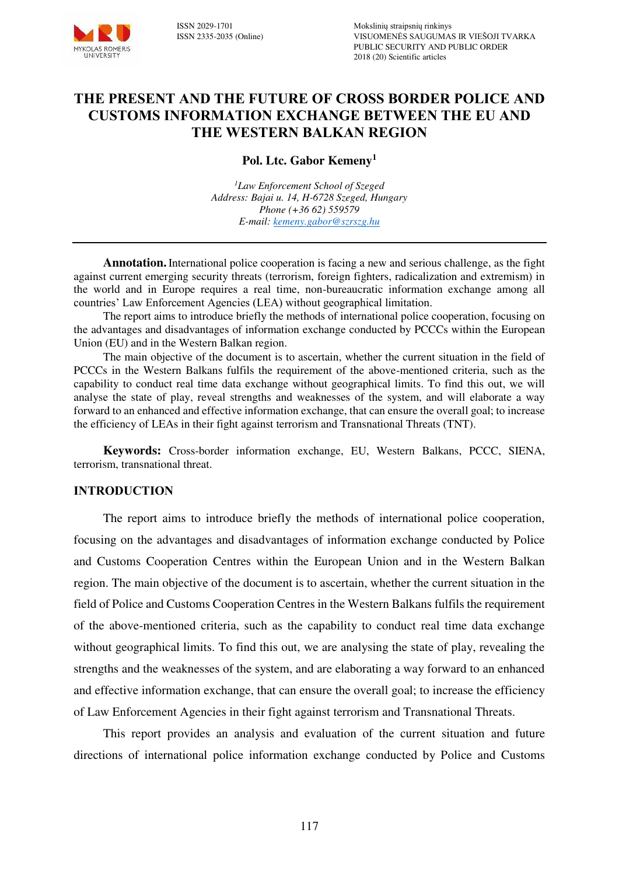

# **THE PRESENT AND THE FUTURE OF CROSS BORDER POLICE AND CUSTOMS INFORMATION EXCHANGE BETWEEN THE EU AND THE WESTERN BALKAN REGION**

**Pol. Ltc. Gabor Kemeny<sup>1</sup>**

*<sup>1</sup>Law Enforcement School of Szeged Address: Bajai u. 14, H-6728 Szeged, Hungary Phone (+36 62) 559579 E-mail: [kemeny.gabor@szrszg.hu](mailto:kemeny.gabor@szrszg.hu)* 

**Annotation.**International police cooperation is facing a new and serious challenge, as the fight against current emerging security threats (terrorism, foreign fighters, radicalization and extremism) in the world and in Europe requires a real time, non-bureaucratic information exchange among all countries' Law Enforcement Agencies (LEA) without geographical limitation.

The report aims to introduce briefly the methods of international police cooperation, focusing on the advantages and disadvantages of information exchange conducted by PCCCs within the European Union (EU) and in the Western Balkan region.

The main objective of the document is to ascertain, whether the current situation in the field of PCCCs in the Western Balkans fulfils the requirement of the above-mentioned criteria, such as the capability to conduct real time data exchange without geographical limits. To find this out, we will analyse the state of play, reveal strengths and weaknesses of the system, and will elaborate a way forward to an enhanced and effective information exchange, that can ensure the overall goal; to increase the efficiency of LEAs in their fight against terrorism and Transnational Threats (TNT).

**Keywords:** Cross-border information exchange, EU, Western Balkans, PCCC, SIENA, terrorism, transnational threat.

#### **INTRODUCTION**

The report aims to introduce briefly the methods of international police cooperation, focusing on the advantages and disadvantages of information exchange conducted by Police and Customs Cooperation Centres within the European Union and in the Western Balkan region. The main objective of the document is to ascertain, whether the current situation in the field of Police and Customs Cooperation Centres in the Western Balkans fulfils the requirement of the above-mentioned criteria, such as the capability to conduct real time data exchange without geographical limits. To find this out, we are analysing the state of play, revealing the strengths and the weaknesses of the system, and are elaborating a way forward to an enhanced and effective information exchange, that can ensure the overall goal; to increase the efficiency of Law Enforcement Agencies in their fight against terrorism and Transnational Threats.

This report provides an analysis and evaluation of the current situation and future directions of international police information exchange conducted by Police and Customs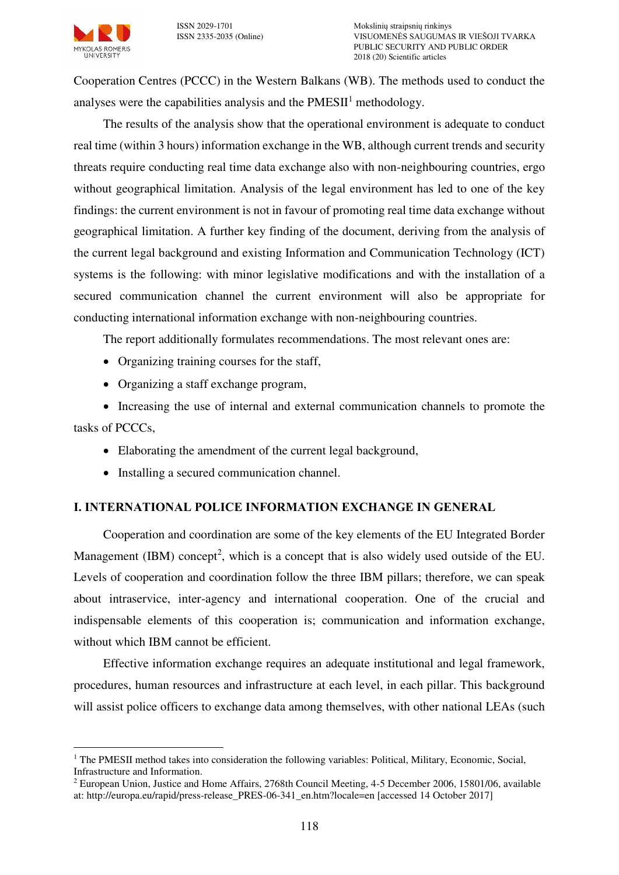<span id="page-1-0"></span>Cooperation Centres (PCCC) in the Western Balkans (WB). The methods used to conduct the analyses were the capabilities analysis and the  $PMESII<sup>1</sup>$  methodology.

The results of the analysis show that the operational environment is adequate to conduct real time (within 3 hours) information exchange in the WB, although current trends and security threats require conducting real time data exchange also with non-neighbouring countries, ergo without geographical limitation. Analysis of the legal environment has led to one of the key findings: the current environment is not in favour of promoting real time data exchange without geographical limitation. A further key finding of the document, deriving from the analysis of the current legal background and existing Information and Communication Technology (ICT) systems is the following: with minor legislative modifications and with the installation of a secured communication channel the current environment will also be appropriate for conducting international information exchange with non-neighbouring countries.

The report additionally formulates recommendations. The most relevant ones are:

- Organizing training courses for the staff.
- Organizing a staff exchange program,

 Increasing the use of internal and external communication channels to promote the tasks of PCCCs,

- Elaborating the amendment of the current legal background,
- Installing a secured communication channel.

# **I. INTERNATIONAL POLICE INFORMATION EXCHANGE IN GENERAL**

Cooperation and coordination are some of the key elements of the EU Integrated Border Management (IBM) concept<sup>2</sup>, which is a concept that is also widely used outside of the EU. Levels of cooperation and coordination follow the three IBM pillars; therefore, we can speak about intraservice, inter-agency and international cooperation. One of the crucial and indispensable elements of this cooperation is; communication and information exchange, without which IBM cannot be efficient.

Effective information exchange requires an adequate institutional and legal framework, procedures, human resources and infrastructure at each level, in each pillar. This background will assist police officers to exchange data among themselves, with other national LEAs (such

 $\overline{a}$ <sup>1</sup> The PMESII method takes into consideration the following variables: Political, Military, Economic, Social, Infrastructure and Information.

<sup>&</sup>lt;sup>2</sup> European Union, Justice and Home Affairs, 2768th Council Meeting, 4-5 December 2006, 15801/06, available at: http://europa.eu/rapid/press-release\_PRES-06-341\_en.htm?locale=en [accessed 14 October 2017]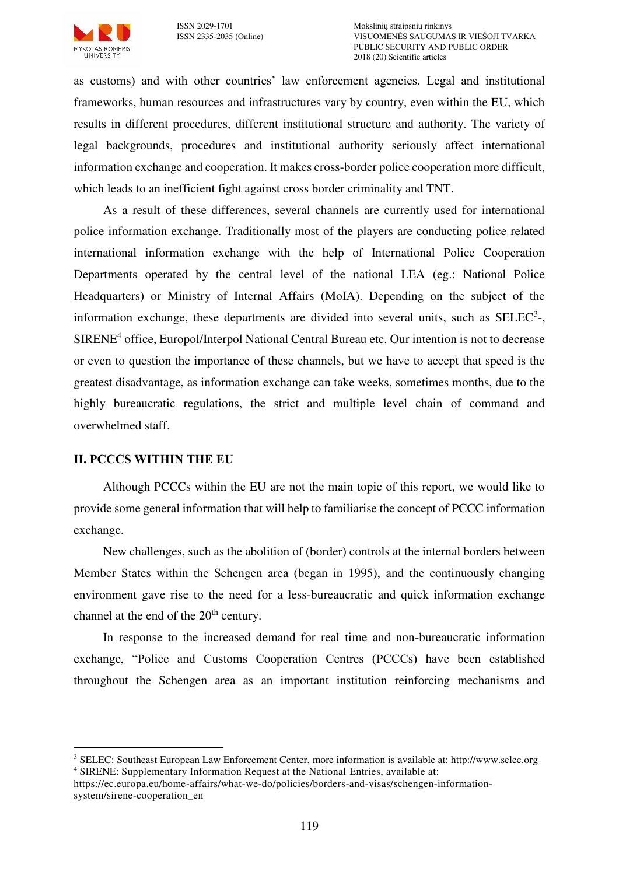

as customs) and with other countries' law enforcement agencies. Legal and institutional frameworks, human resources and infrastructures vary by country, even within the EU, which results in different procedures, different institutional structure and authority. The variety of legal backgrounds, procedures and institutional authority seriously affect international information exchange and cooperation. It makes cross-border police cooperation more difficult, which leads to an inefficient fight against cross border criminality and TNT.

As a result of these differences, several channels are currently used for international police information exchange. Traditionally most of the players are conducting police related international information exchange with the help of International Police Cooperation Departments operated by the central level of the national LEA (eg.: National Police Headquarters) or Ministry of Internal Affairs (MoIA). Depending on the subject of the information exchange, these departments are divided into several units, such as  $SELEC<sup>3</sup>$ -, SIRENE<sup>4</sup> office, Europol/Interpol National Central Bureau etc. Our intention is not to decrease or even to question the importance of these channels, but we have to accept that speed is the greatest disadvantage, as information exchange can take weeks, sometimes months, due to the highly bureaucratic regulations, the strict and multiple level chain of command and overwhelmed staff.

## **II. PCCCS WITHIN THE EU**

 $\overline{a}$ 

Although PCCCs within the EU are not the main topic of this report, we would like to provide some general information that will help to familiarise the concept of PCCC information exchange.

New challenges, such as the abolition of (border) controls at the internal borders between Member States within the Schengen area (began in 1995), and the continuously changing environment gave rise to the need for a less-bureaucratic and quick information exchange channel at the end of the  $20<sup>th</sup>$  century.

In response to the increased demand for real time and non-bureaucratic information exchange, "Police and Customs Cooperation Centres (PCCCs) have been established throughout the Schengen area as an important institution reinforcing mechanisms and

<sup>&</sup>lt;sup>3</sup> SELEC: Southeast European Law Enforcement Center, more information is available at: http://www.selec.org 4 SIRENE: Supplementary Information Request at the National Entries, available at:

https://ec.europa.eu/home-affairs/what-we-do/policies/borders-and-visas/schengen-informationsystem/sirene-cooperation\_en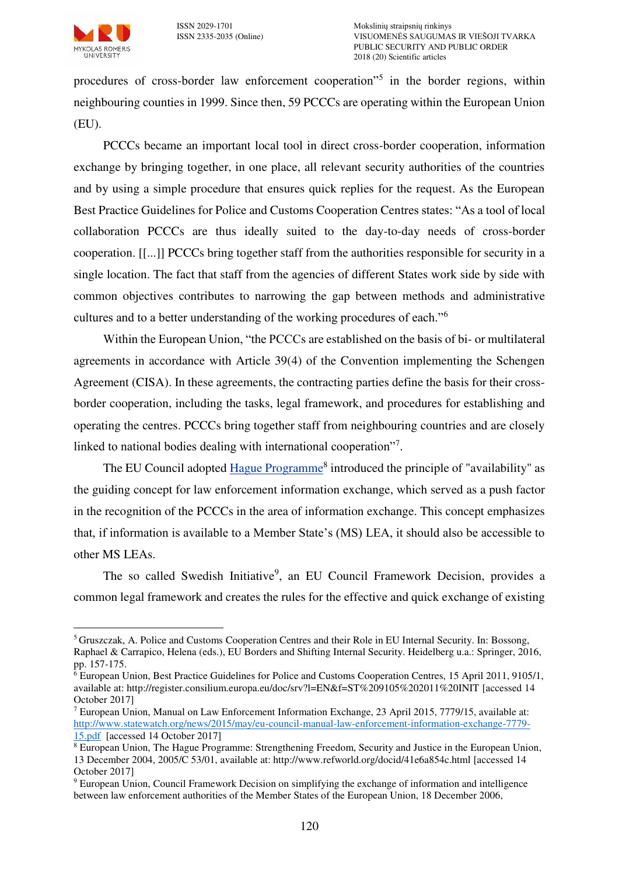

 $\overline{a}$ 

procedures of cross-border law enforcement cooperation<sup>75</sup> in the border regions, within neighbouring counties in 1999. Since then, 59 PCCCs are operating within the European Union (EU).

PCCCs became an important local tool in direct cross-border cooperation, information exchange by bringing together, in one place, all relevant security authorities of the countries and by using a simple procedure that ensures quick replies for the request. As the European Best Practice Guidelines for Police and Customs Cooperation Centres states: "As a tool of local collaboration PCCCs are thus ideally suited to the day-to-day needs of cross-border cooperation. [[...]] PCCCs bring together staff from the authorities responsible for security in a single location. The fact that staff from the agencies of different States work side by side with common objectives contributes to narrowing the gap between methods and administrative cultures and to a better understanding of the working procedures of each."<sup>6</sup>

Within the European Union, "the PCCCs are established on the basis of bi- or multilateral agreements in accordance with Article 39(4) of the Convention implementing the Schengen Agreement (CISA). In these agreements, the contracting parties define the basis for their crossborder cooperation, including the tasks, legal framework, and procedures for establishing and operating the centres. PCCCs bring together staff from neighbouring countries and are closely linked to national bodies dealing with international cooperation"7.

The EU Council adopted [Hague Programme](http://eur-lex.europa.eu/LexUriServ/LexUriServ.do?uri=OJ:C:2005:053:0001:0014:EN:PDF)<sup>8</sup> introduced the principle of "availability" as the guiding concept for law enforcement information exchange, which served as a push factor in the recognition of the PCCCs in the area of information exchange. This concept emphasizes that, if information is available to a Member State's (MS) LEA, it should also be accessible to other MS LEAs.

The so called Swedish Initiative<sup>9</sup>, an EU Council Framework Decision, provides a common legal framework and creates the rules for the effective and quick exchange of existing

<sup>5</sup>Gruszczak, A. Police and Customs Cooperation Centres and their Role in EU Internal Security. In: Bossong, Raphael & Carrapico, Helena (eds.), EU Borders and Shifting Internal Security. Heidelberg u.a.: Springer, 2016, pp. 157-175.

<sup>6</sup> European Union, Best Practice Guidelines for Police and Customs Cooperation Centres, 15 April 2011, 9105/1, available at: http://register.consilium.europa.eu/doc/srv?l=EN&f=ST%209105%202011%20INIT [accessed 14 October 2017]

<sup>&</sup>lt;sup>7</sup> European Union, Manual on Law Enforcement Information Exchange, 23 April 2015, 7779/15, available at: [http://www.statewatch.org/news/2015/may/eu-council-manual-law-enforcement-information-exchange-7779-](http://www.statewatch.org/news/2015/may/eu-council-manual-law-enforcement-information-exchange-7779-15.pdf) [15.pdf](http://www.statewatch.org/news/2015/may/eu-council-manual-law-enforcement-information-exchange-7779-15.pdf) [accessed 14 October 2017]

<sup>&</sup>lt;sup>8</sup> European Union, The Hague Programme: Strengthening Freedom, Security and Justice in the European Union, 13 December 2004, 2005/C 53/01, available at: http://www.refworld.org/docid/41e6a854c.html [accessed 14 October 2017]

<sup>&</sup>lt;sup>9</sup> European Union, Council Framework Decision on simplifying the exchange of information and intelligence between law enforcement authorities of the Member States of the European Union, 18 December 2006,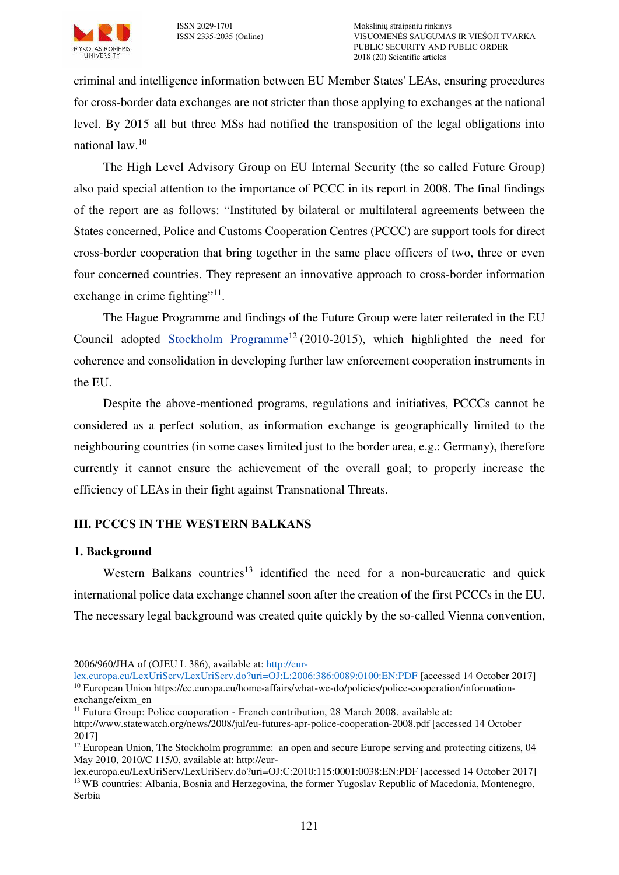

criminal and intelligence information between EU Member States' LEAs, ensuring procedures for cross-border data exchanges are not stricter than those applying to exchanges at the national level. By 2015 all but three MSs had notified the transposition of the legal obligations into national law.<sup>10</sup>

The High Level Advisory Group on EU Internal Security (the so called Future Group) also paid special attention to the importance of PCCC in its report in 2008. The final findings of the report are as follows: "Instituted by bilateral or multilateral agreements between the States concerned, Police and Customs Cooperation Centres (PCCC) are support tools for direct cross-border cooperation that bring together in the same place officers of two, three or even four concerned countries. They represent an innovative approach to cross-border information exchange in crime fighting"<sup>11</sup>.

The Hague Programme and findings of the Future Group were later reiterated in the EU Council adopted [Stockholm Programme](http://eur-lex.europa.eu/LexUriServ/LexUriServ.do?uri=OJ:C:2010:115:0001:0038:EN:PDF)<sup>12</sup> (2010-2015), which highlighted the need for coherence and consolidation in developing further law enforcement cooperation instruments in the EU.

Despite the above-mentioned programs, regulations and initiatives, PCCCs cannot be considered as a perfect solution, as information exchange is geographically limited to the neighbouring countries (in some cases limited just to the border area, e.g.: Germany), therefore currently it cannot ensure the achievement of the overall goal; to properly increase the efficiency of LEAs in their fight against Transnational Threats.

# **III. PCCCS IN THE WESTERN BALKANS**

# **1. Background**

 $\overline{a}$ 

Western Balkans countries<sup>13</sup> identified the need for a non-bureaucratic and quick international police data exchange channel soon after the creation of the first PCCCs in the EU. The necessary legal background was created quite quickly by the so-called Vienna convention,

<sup>2006/960/</sup>JHA of (OJEU L 386), available at: [http://eur-](http://eur-lex.europa.eu/LexUriServ/LexUriServ.do?uri=OJ:L:2006:386:0089:0100:EN:PDF)

[lex.europa.eu/LexUriServ/LexUriServ.do?uri=OJ:L:2006:386:0089:0100:EN:PDF](http://eur-lex.europa.eu/LexUriServ/LexUriServ.do?uri=OJ:L:2006:386:0089:0100:EN:PDF) [accessed 14 October 2017] <sup>10</sup> European Union https://ec.europa.eu/home-affairs/what-we-do/policies/police-cooperation/informationexchange/eixm\_en

 $11$  Future Group: Police cooperation - French contribution, 28 March 2008, available at: http://www.statewatch.org/news/2008/jul/eu-futures-apr-police-cooperation-2008.pdf [accessed 14 October 2017]

<sup>&</sup>lt;sup>12</sup> European Union, The Stockholm programme: an open and secure Europe serving and protecting citizens, 04 May 2010, 2010/C 115/0, available at: http://eur-

lex.europa.eu/LexUriServ/LexUriServ.do?uri=OJ:C:2010:115:0001:0038:EN:PDF [accessed 14 October 2017] <sup>13</sup> WB countries: Albania, Bosnia and Herzegovina, the former Yugoslav Republic of Macedonia, Montenegro, Serbia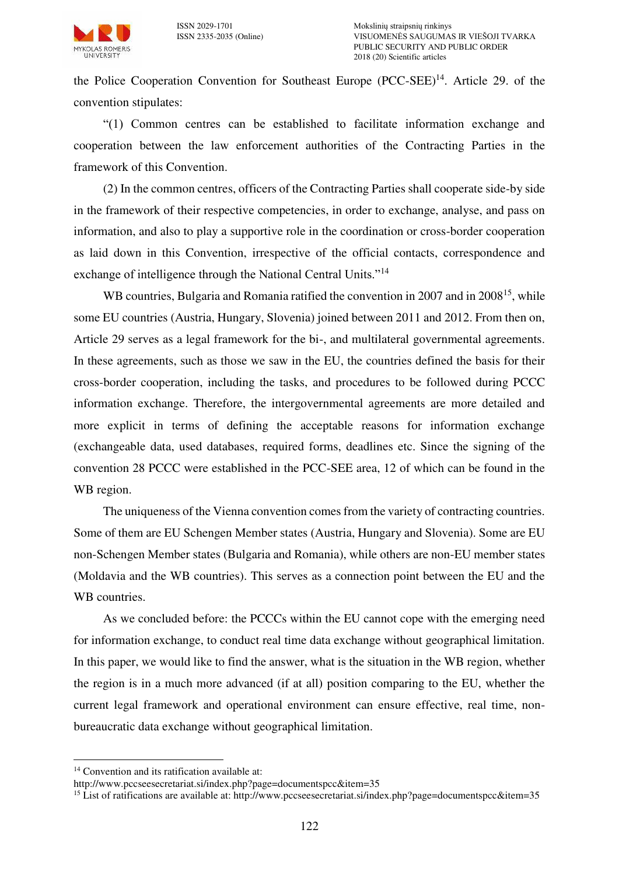

<span id="page-5-0"></span>the Police Cooperation Convention for Southeast Europe (PCC-SEE)<sup>14</sup>. Article 29. of the convention stipulates:

"(1) Common centres can be established to facilitate information exchange and cooperation between the law enforcement authorities of the Contracting Parties in the framework of this Convention.

(2) In the common centres, officers of the Contracting Parties shall cooperate side-by side in the framework of their respective competencies, in order to exchange, analyse, and pass on information, and also to play a supportive role in the coordination or cross-border cooperation as laid down in this Convention, irrespective of the official contacts, correspondence and exchange of intelligence through the National Central Units."[14](#page-5-0)

WB countries, Bulgaria and Romania ratified the convention in 2007 and in 2008<sup>15</sup>, while some EU countries (Austria, Hungary, Slovenia) joined between 2011 and 2012. From then on, Article 29 serves as a legal framework for the bi-, and multilateral governmental agreements. In these agreements, such as those we saw in the EU, the countries defined the basis for their cross-border cooperation, including the tasks, and procedures to be followed during PCCC information exchange. Therefore, the intergovernmental agreements are more detailed and more explicit in terms of defining the acceptable reasons for information exchange (exchangeable data, used databases, required forms, deadlines etc. Since the signing of the convention 28 PCCC were established in the PCC-SEE area, 12 of which can be found in the WB region.

The uniqueness of the Vienna convention comes from the variety of contracting countries. Some of them are EU Schengen Member states (Austria, Hungary and Slovenia). Some are EU non-Schengen Member states (Bulgaria and Romania), while others are non-EU member states (Moldavia and the WB countries). This serves as a connection point between the EU and the WB countries.

As we concluded before: the PCCCs within the EU cannot cope with the emerging need for information exchange, to conduct real time data exchange without geographical limitation. In this paper, we would like to find the answer, what is the situation in the WB region, whether the region is in a much more advanced (if at all) position comparing to the EU, whether the current legal framework and operational environment can ensure effective, real time, nonbureaucratic data exchange without geographical limitation.

 $\overline{a}$ 

<sup>&</sup>lt;sup>14</sup> Convention and its ratification available at:

http://www.pccseesecretariat.si/index.php?page=documentspcc&item=35

<sup>&</sup>lt;sup>15</sup> List of ratifications are available at: http://www.pccseesecretariat.si/index.php?page=documentspcc&item=35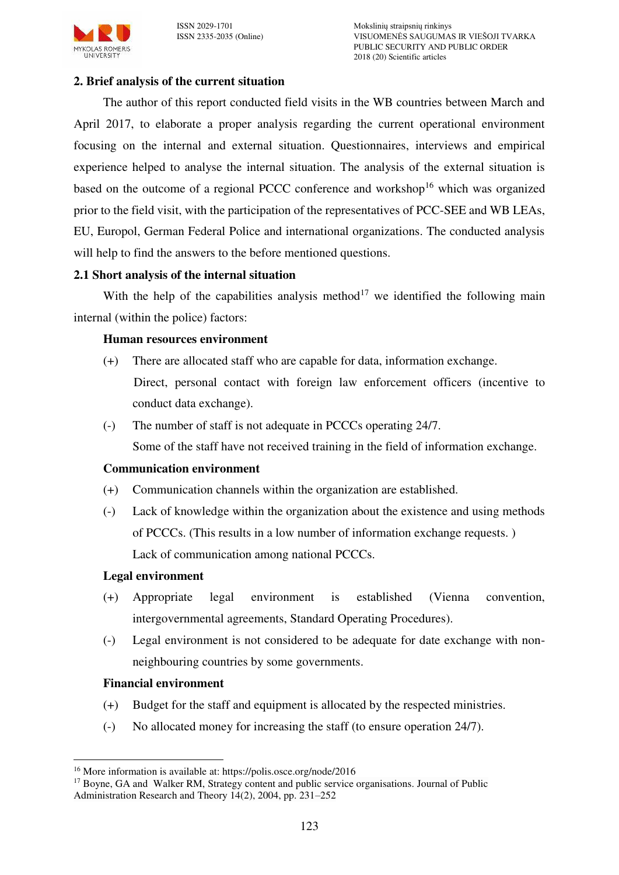

## **2. Brief analysis of the current situation**

The author of this report conducted field visits in the WB countries between March and April 2017, to elaborate a proper analysis regarding the current operational environment focusing on the internal and external situation. Questionnaires, interviews and empirical experience helped to analyse the internal situation. The analysis of the external situation is based on the outcome of a regional PCCC conference and workshop<sup>16</sup> which was organized prior to the field visit, with the participation of the representatives of PCC-SEE and WB LEAs, EU, Europol, German Federal Police and international organizations. The conducted analysis will help to find the answers to the before mentioned questions.

#### **2.1 Short analysis of the internal situation**

With the help of the capabilities analysis method<sup>17</sup> we identified the following main internal (within the police) factors:

#### <span id="page-6-0"></span>**Human resources environment**

- (+) There are allocated staff who are capable for data, information exchange. Direct, personal contact with foreign law enforcement officers (incentive to conduct data exchange).
- (-) The number of staff is not adequate in PCCCs operating 24/7.

Some of the staff have not received training in the field of information exchange.

#### **Communication environment**

- (+) Communication channels within the organization are established.
- (-) Lack of knowledge within the organization about the existence and using methods of PCCCs. (This results in a low number of information exchange requests. ) Lack of communication among national PCCCs.

#### **Legal environment**

- (+) Appropriate legal environment is established (Vienna convention, intergovernmental agreements, Standard Operating Procedures).
- (-) Legal environment is not considered to be adequate for date exchange with nonneighbouring countries by some governments.

## **Financial environment**

- (+) Budget for the staff and equipment is allocated by the respected ministries.
- (-) No allocated money for increasing the staff (to ensure operation 24/7).

 $\overline{a}$ <sup>16</sup> More information is available at: https://polis.osce.org/node/2016

<sup>&</sup>lt;sup>17</sup> Boyne, GA and Walker RM, Strategy content and public service organisations. Journal of Public Administration Research and Theory 14(2), 2004, pp. 231–252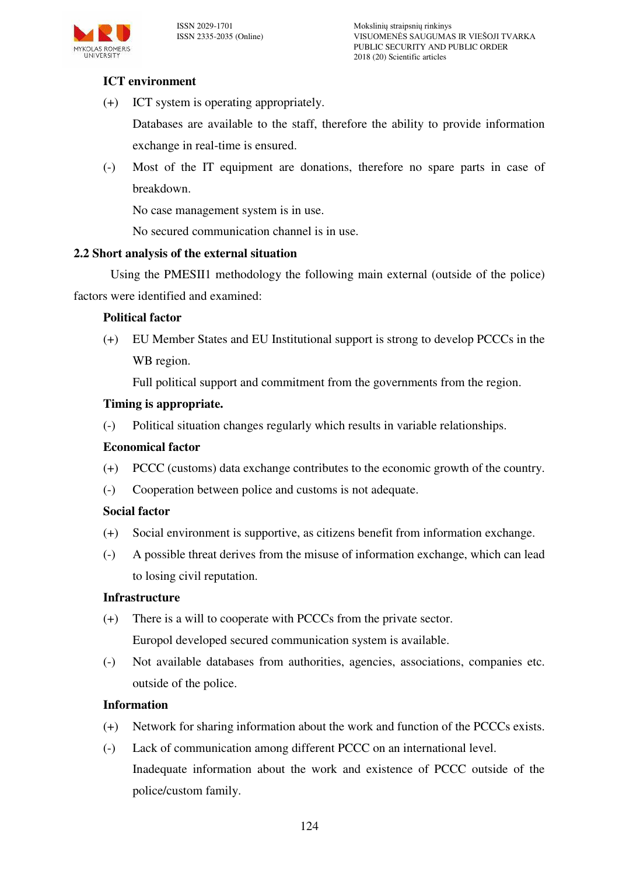

# **ICT environment**

(+) ICT system is operating appropriately.

Databases are available to the staff, therefore the ability to provide information exchange in real-time is ensured.

(-) Most of the IT equipment are donations, therefore no spare parts in case of breakdown.

No case management system is in use.

No secured communication channel is in use.

# **2.2 Short analysis of the external situation**

Using the PMESI[I1](#page-1-0) methodology the following main external (outside of the police) factors were identified and examined:

# **Political factor**

(+) EU Member States and EU Institutional support is strong to develop PCCCs in the WB region.

Full political support and commitment from the governments from the region.

## **Timing is appropriate.**

(-) Political situation changes regularly which results in variable relationships.

## **Economical factor**

- (+) PCCC (customs) data exchange contributes to the economic growth of the country.
- (-) Cooperation between police and customs is not adequate.

## **Social factor**

- (+) Social environment is supportive, as citizens benefit from information exchange.
- (-) A possible threat derives from the misuse of information exchange, which can lead to losing civil reputation.

## **Infrastructure**

- (+) There is a will to cooperate with PCCCs from the private sector. Europol developed secured communication system is available.
- (-) Not available databases from authorities, agencies, associations, companies etc. outside of the police.

## **Information**

- (+) Network for sharing information about the work and function of the PCCCs exists.
- (-) Lack of communication among different PCCC on an international level. Inadequate information about the work and existence of PCCC outside of the police/custom family.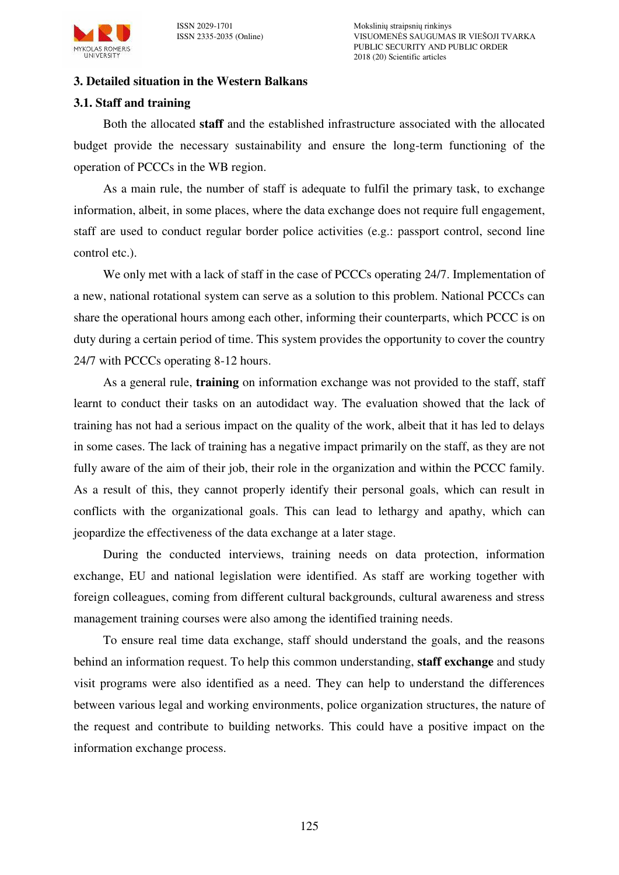

#### **3. Detailed situation in the Western Balkans**

### **3.1. Staff and training**

Both the allocated **staff** and the established infrastructure associated with the allocated budget provide the necessary sustainability and ensure the long-term functioning of the operation of PCCCs in the WB region.

As a main rule, the number of staff is adequate to fulfil the primary task, to exchange information, albeit, in some places, where the data exchange does not require full engagement, staff are used to conduct regular border police activities (e.g.: passport control, second line control etc.).

We only met with a lack of staff in the case of PCCCs operating 24/7. Implementation of a new, national rotational system can serve as a solution to this problem. National PCCCs can share the operational hours among each other, informing their counterparts, which PCCC is on duty during a certain period of time. This system provides the opportunity to cover the country 24/7 with PCCCs operating 8-12 hours.

As a general rule, **training** on information exchange was not provided to the staff, staff learnt to conduct their tasks on an autodidact way. The evaluation showed that the lack of training has not had a serious impact on the quality of the work, albeit that it has led to delays in some cases. The lack of training has a negative impact primarily on the staff, as they are not fully aware of the aim of their job, their role in the organization and within the PCCC family. As a result of this, they cannot properly identify their personal goals, which can result in conflicts with the organizational goals. This can lead to lethargy and apathy, which can jeopardize the effectiveness of the data exchange at a later stage.

During the conducted interviews, training needs on data protection, information exchange, EU and national legislation were identified. As staff are working together with foreign colleagues, coming from different cultural backgrounds, cultural awareness and stress management training courses were also among the identified training needs.

To ensure real time data exchange, staff should understand the goals, and the reasons behind an information request. To help this common understanding, **staff exchange** and study visit programs were also identified as a need. They can help to understand the differences between various legal and working environments, police organization structures, the nature of the request and contribute to building networks. This could have a positive impact on the information exchange process.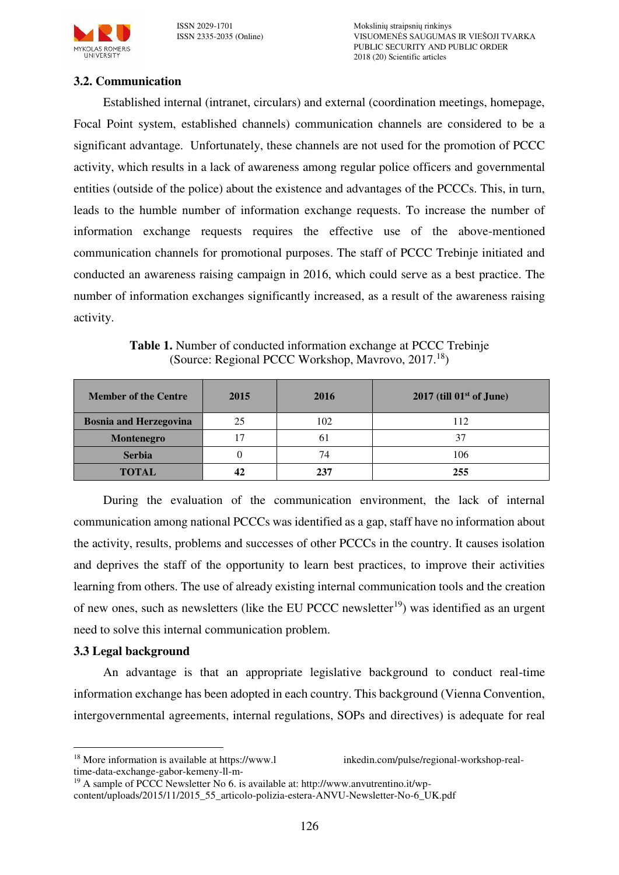

ISSN 2029-1701 Mokslinių straipsnių rinkinys VISUOMENĖS SAUGUMAS IR VIEŠOJI TVARKA PUBLIC SECURITY AND PUBLIC ORDER 2018 (20) Scientific articles

### **3.2. Communication**

Established internal (intranet, circulars) and external (coordination meetings, homepage, Focal Point system, established channels) communication channels are considered to be a significant advantage. Unfortunately, these channels are not used for the promotion of PCCC activity, which results in a lack of awareness among regular police officers and governmental entities (outside of the police) about the existence and advantages of the PCCCs. This, in turn, leads to the humble number of information exchange requests. To increase the number of information exchange requests requires the effective use of the above-mentioned communication channels for promotional purposes. The staff of PCCC Trebinje initiated and conducted an awareness raising campaign in 2016, which could serve as a best practice. The number of information exchanges significantly increased, as a result of the awareness raising activity.

**Table 1.** Number of conducted information exchange at PCCC Trebinje (Source: Regional PCCC Workshop, Mavrovo, 2017.<sup>18</sup>)

| <b>Member of the Centre</b>   | 2015 | 2016 | $2017$ (till $01st$ of June) |
|-------------------------------|------|------|------------------------------|
| <b>Bosnia and Herzegovina</b> | 25   | 102  | 112                          |
| Montenegro                    | 17   | 6.   | 37                           |
| <b>Serbia</b>                 |      | 74   | 106                          |
| <b>TOTAL</b>                  | 42   |      | 255                          |

During the evaluation of the communication environment, the lack of internal communication among national PCCCs was identified as a gap, staff have no information about the activity, results, problems and successes of other PCCCs in the country. It causes isolation and deprives the staff of the opportunity to learn best practices, to improve their activities learning from others. The use of already existing internal communication tools and the creation of new ones, such as newsletters (like the EU PCCC newsletter<sup>19</sup>) was identified as an urgent need to solve this internal communication problem.

#### **3.3 Legal background**

 $\overline{a}$ 

An advantage is that an appropriate legislative background to conduct real-time information exchange has been adopted in each country. This background (Vienna Convention, intergovernmental agreements, internal regulations, SOPs and directives) is adequate for real

<sup>&</sup>lt;sup>18</sup> More information is available at https://www.l inkedin.com/pulse/regional-workshop-realtime-data-exchange-gabor-kemeny-ll-m-

<sup>&</sup>lt;sup>19</sup> A sample of PCCC Newsletter No 6. is available at: http://www.anvutrentino.it/wp-

content/uploads/2015/11/2015\_55\_articolo-polizia-estera-ANVU-Newsletter-No-6\_UK.pdf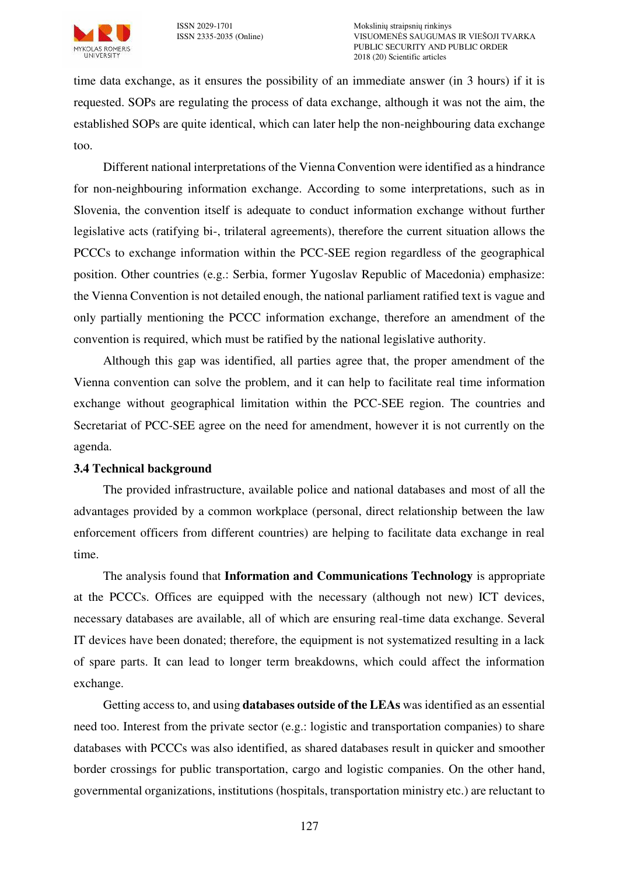

time data exchange, as it ensures the possibility of an immediate answer (in 3 hours) if it is requested. SOPs are regulating the process of data exchange, although it was not the aim, the established SOPs are quite identical, which can later help the non-neighbouring data exchange too.

Different national interpretations of the Vienna Convention were identified as a hindrance for non-neighbouring information exchange. According to some interpretations, such as in Slovenia, the convention itself is adequate to conduct information exchange without further legislative acts (ratifying bi-, trilateral agreements), therefore the current situation allows the PCCCs to exchange information within the PCC-SEE region regardless of the geographical position. Other countries (e.g.: Serbia, former Yugoslav Republic of Macedonia) emphasize: the Vienna Convention is not detailed enough, the national parliament ratified text is vague and only partially mentioning the PCCC information exchange, therefore an amendment of the convention is required, which must be ratified by the national legislative authority.

Although this gap was identified, all parties agree that, the proper amendment of the Vienna convention can solve the problem, and it can help to facilitate real time information exchange without geographical limitation within the PCC-SEE region. The countries and Secretariat of PCC-SEE agree on the need for amendment, however it is not currently on the agenda.

#### **3.4 Technical background**

The provided infrastructure, available police and national databases and most of all the advantages provided by a common workplace (personal, direct relationship between the law enforcement officers from different countries) are helping to facilitate data exchange in real time.

The analysis found that **Information and Communications Technology** is appropriate at the PCCCs. Offices are equipped with the necessary (although not new) ICT devices, necessary databases are available, all of which are ensuring real-time data exchange. Several IT devices have been donated; therefore, the equipment is not systematized resulting in a lack of spare parts. It can lead to longer term breakdowns, which could affect the information exchange.

Getting access to, and using **databases outside of the LEAs** was identified as an essential need too. Interest from the private sector (e.g.: logistic and transportation companies) to share databases with PCCCs was also identified, as shared databases result in quicker and smoother border crossings for public transportation, cargo and logistic companies. On the other hand, governmental organizations, institutions (hospitals, transportation ministry etc.) are reluctant to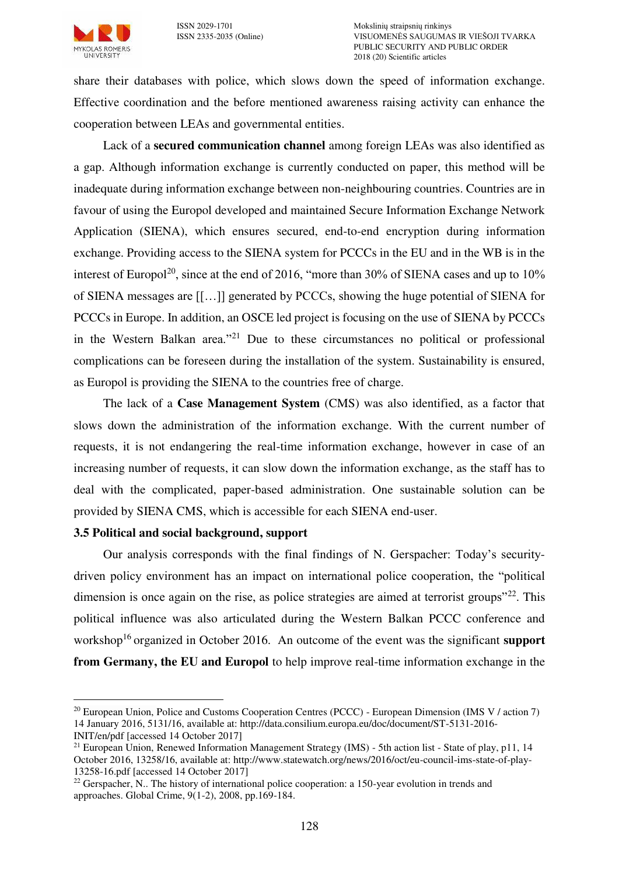

share their databases with police, which slows down the speed of information exchange. Effective coordination and the before mentioned awareness raising activity can enhance the cooperation between LEAs and governmental entities.

Lack of a **secured communication channel** among foreign LEAs was also identified as a gap. Although information exchange is currently conducted on paper, this method will be inadequate during information exchange between non-neighbouring countries. Countries are in favour of using the Europol developed and maintained Secure Information Exchange Network Application (SIENA), which ensures secured, end-to-end encryption during information exchange. Providing access to the SIENA system for PCCCs in the EU and in the WB is in the interest of Europol<sup>20</sup>, since at the end of 2016, "more than 30% of SIENA cases and up to  $10\%$ of SIENA messages are [[…]] generated by PCCCs, showing the huge potential of SIENA for PCCCs in Europe. In addition, an OSCE led project is focusing on the use of SIENA by PCCCs in the Western Balkan area."<sup>21</sup> Due to these circumstances no political or professional complications can be foreseen during the installation of the system. Sustainability is ensured, as Europol is providing the SIENA to the countries free of charge.

The lack of a **Case Management System** (CMS) was also identified, as a factor that slows down the administration of the information exchange. With the current number of requests, it is not endangering the real-time information exchange, however in case of an increasing number of requests, it can slow down the information exchange, as the staff has to deal with the complicated, paper-based administration. One sustainable solution can be provided by SIENA CMS, which is accessible for each SIENA end-user.

#### **3.5 Political and social background, support**

Our analysis corresponds with the final findings of N. Gerspacher: Today's securitydriven policy environment has an impact on international police cooperation, the "political dimension is once again on the rise, as police strategies are aimed at terrorist groups<sup> $22$ </sup>. This political influence was also articulated during the Western Balkan PCCC conference and workshop<sup>[16](#page-6-0)</sup> organized in October 2016. An outcome of the event was the significant **support from Germany, the EU and Europol** to help improve real-time information exchange in the

 $\overline{a}$ 

<sup>&</sup>lt;sup>20</sup> European Union, Police and Customs Cooperation Centres (PCCC) - European Dimension (IMS V / action 7) 14 January 2016, 5131/16, available at: http://data.consilium.europa.eu/doc/document/ST-5131-2016-

INIT/en/pdf [accessed 14 October 2017]

<sup>&</sup>lt;sup>21</sup> European Union, Renewed Information Management Strategy (IMS) - 5th action list - State of play, p11, 14 October 2016, 13258/16, available at: http://www.statewatch.org/news/2016/oct/eu-council-ims-state-of-play-13258-16.pdf [accessed 14 October 2017]

<sup>&</sup>lt;sup>22</sup> Gerspacher, N.. The history of international police cooperation: a 150-year evolution in trends and approaches. Global Crime, 9(1-2), 2008, pp.169-184.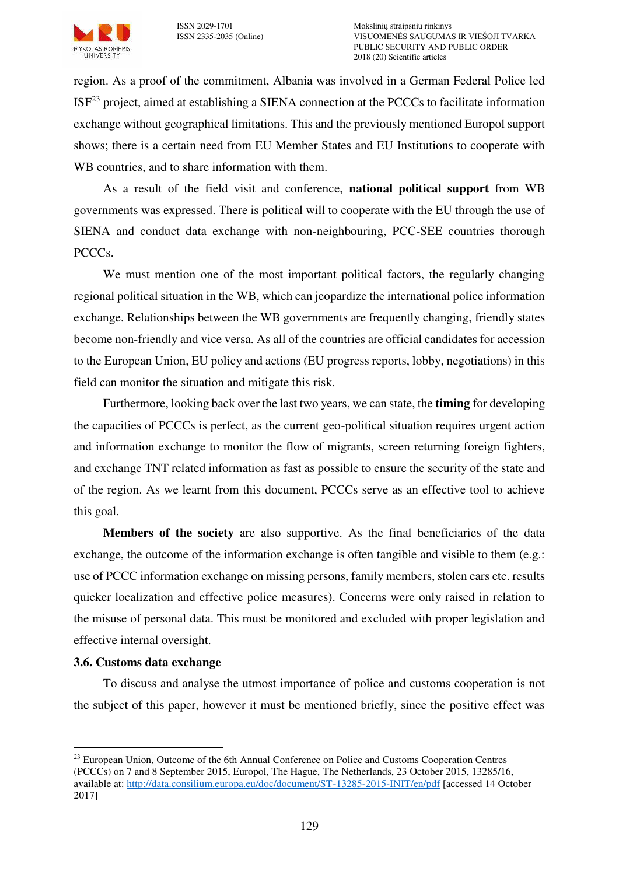

region. As a proof of the commitment, Albania was involved in a German Federal Police led  $ISF<sup>23</sup>$  project, aimed at establishing a SIENA connection at the PCCCs to facilitate information exchange without geographical limitations. This and the previously mentioned Europol support shows; there is a certain need from EU Member States and EU Institutions to cooperate with WB countries, and to share information with them.

As a result of the field visit and conference, **national political support** from WB governments was expressed. There is political will to cooperate with the EU through the use of SIENA and conduct data exchange with non-neighbouring, PCC-SEE countries thorough PCCCs.

We must mention one of the most important political factors, the regularly changing regional political situation in the WB, which can jeopardize the international police information exchange. Relationships between the WB governments are frequently changing, friendly states become non-friendly and vice versa. As all of the countries are official candidates for accession to the European Union, EU policy and actions (EU progress reports, lobby, negotiations) in this field can monitor the situation and mitigate this risk.

Furthermore, looking back over the last two years, we can state, the **timing** for developing the capacities of PCCCs is perfect, as the current geo-political situation requires urgent action and information exchange to monitor the flow of migrants, screen returning foreign fighters, and exchange TNT related information as fast as possible to ensure the security of the state and of the region. As we learnt from this document, PCCCs serve as an effective tool to achieve this goal.

**Members of the society** are also supportive. As the final beneficiaries of the data exchange, the outcome of the information exchange is often tangible and visible to them (e.g.: use of PCCC information exchange on missing persons, family members, stolen cars etc. results quicker localization and effective police measures). Concerns were only raised in relation to the misuse of personal data. This must be monitored and excluded with proper legislation and effective internal oversight.

## **3.6. Customs data exchange**

 $\overline{a}$ 

To discuss and analyse the utmost importance of police and customs cooperation is not the subject of this paper, however it must be mentioned briefly, since the positive effect was

<sup>&</sup>lt;sup>23</sup> European Union, Outcome of the 6th Annual Conference on Police and Customs Cooperation Centres (PCCCs) on 7 and 8 September 2015, Europol, The Hague, The Netherlands, 23 October 2015, 13285/16, available at: [http://data.consilium.europa.eu/doc/document/ST-13285-2015-INIT/en/pdf \[](http://data.consilium.europa.eu/doc/document/ST-13285-2015-INIT/en/pdf)accessed 14 October 2017]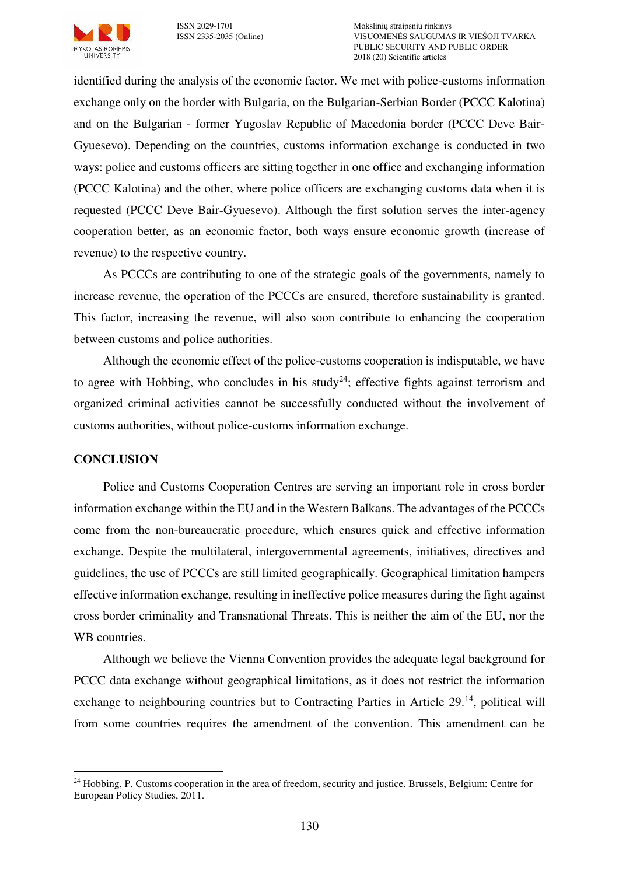

identified during the analysis of the economic factor. We met with police-customs information exchange only on the border with Bulgaria, on the Bulgarian-Serbian Border (PCCC Kalotina) and on the Bulgarian - former Yugoslav Republic of Macedonia border (PCCC Deve Bair-Gyuesevo). Depending on the countries, customs information exchange is conducted in two ways: police and customs officers are sitting together in one office and exchanging information (PCCC Kalotina) and the other, where police officers are exchanging customs data when it is requested (PCCC Deve Bair-Gyuesevo). Although the first solution serves the inter-agency cooperation better, as an economic factor, both ways ensure economic growth (increase of revenue) to the respective country.

As PCCCs are contributing to one of the strategic goals of the governments, namely to increase revenue, the operation of the PCCCs are ensured, therefore sustainability is granted. This factor, increasing the revenue, will also soon contribute to enhancing the cooperation between customs and police authorities.

Although the economic effect of the police-customs cooperation is indisputable, we have to agree with Hobbing, who concludes in his study<sup>24</sup>; effective fights against terrorism and organized criminal activities cannot be successfully conducted without the involvement of customs authorities, without police-customs information exchange.

## **CONCLUSION**

Police and Customs Cooperation Centres are serving an important role in cross border information exchange within the EU and in the Western Balkans. The advantages of the PCCCs come from the non-bureaucratic procedure, which ensures quick and effective information exchange. Despite the multilateral, intergovernmental agreements, initiatives, directives and guidelines, the use of PCCCs are still limited geographically. Geographical limitation hampers effective information exchange, resulting in ineffective police measures during the fight against cross border criminality and Transnational Threats. This is neither the aim of the EU, nor the WB countries.

Although we believe the Vienna Convention provides the adequate legal background for PCCC data exchange without geographical limitations, as it does not restrict the information exchange to neighbouring countries but to Contracting Parties in Article 29.<sup>[14](#page-5-0)</sup>, political will from some countries requires the amendment of the convention. This amendment can be

 $\overline{a}$ <sup>24</sup> Hobbing, P. Customs cooperation in the area of freedom, security and justice. Brussels, Belgium: Centre for European Policy Studies, 2011.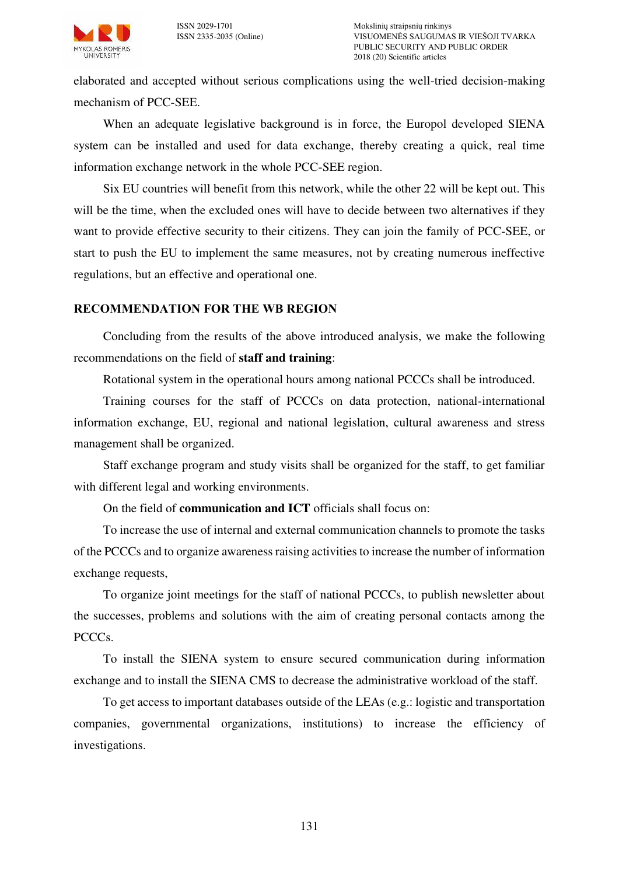

elaborated and accepted without serious complications using the well-tried decision-making mechanism of PCC-SEE.

When an adequate legislative background is in force, the Europol developed SIENA system can be installed and used for data exchange, thereby creating a quick, real time information exchange network in the whole PCC-SEE region.

Six EU countries will benefit from this network, while the other 22 will be kept out. This will be the time, when the excluded ones will have to decide between two alternatives if they want to provide effective security to their citizens. They can join the family of PCC-SEE, or start to push the EU to implement the same measures, not by creating numerous ineffective regulations, but an effective and operational one.

#### **RECOMMENDATION FOR THE WB REGION**

Concluding from the results of the above introduced analysis, we make the following recommendations on the field of **staff and training**:

Rotational system in the operational hours among national PCCCs shall be introduced.

Training courses for the staff of PCCCs on data protection, national-international information exchange, EU, regional and national legislation, cultural awareness and stress management shall be organized.

Staff exchange program and study visits shall be organized for the staff, to get familiar with different legal and working environments.

On the field of **communication and ICT** officials shall focus on:

To increase the use of internal and external communication channels to promote the tasks of the PCCCs and to organize awareness raising activities to increase the number of information exchange requests,

To organize joint meetings for the staff of national PCCCs, to publish newsletter about the successes, problems and solutions with the aim of creating personal contacts among the PCCCs.

To install the SIENA system to ensure secured communication during information exchange and to install the SIENA CMS to decrease the administrative workload of the staff.

To get access to important databases outside of the LEAs (e.g.: logistic and transportation companies, governmental organizations, institutions) to increase the efficiency of investigations.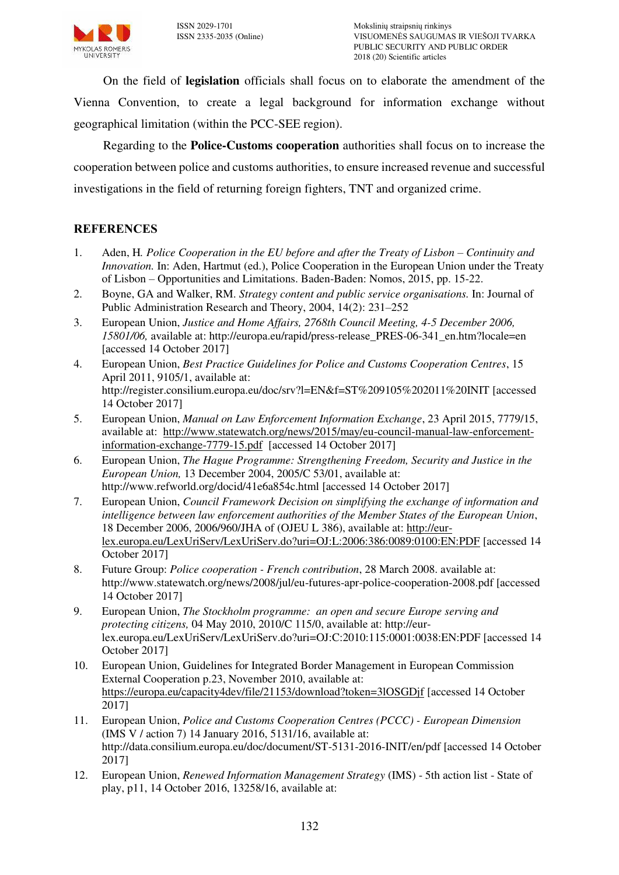On the field of **legislation** officials shall focus on to elaborate the amendment of the Vienna Convention, to create a legal background for information exchange without geographical limitation (within the PCC-SEE region).

Regarding to the **Police-Customs cooperation** authorities shall focus on to increase the cooperation between police and customs authorities, to ensure increased revenue and successful investigations in the field of returning foreign fighters, TNT and organized crime.

# **REFERENCES**

- 1. Aden, H. Police Cooperation in the EU before and after the Treaty of Lisbon Continuity and *Innovation.* In: Aden, Hartmut (ed.), Police Cooperation in the European Union under the Treaty of Lisbon – Opportunities and Limitations. Baden-Baden: Nomos, 2015, pp. 15-22.
- 2. Boyne, GA and Walker, RM. *Strategy content and public service organisations.* In: Journal of Public Administration Research and Theory, 2004, 14(2): 231–252
- 3. European Union, *Justice and Home Affairs, 2768th Council Meeting, 4-5 December 2006, 15801/06,* available at: http://europa.eu/rapid/press-release\_PRES-06-341\_en.htm?locale=en [accessed 14 October 2017]
- 4. European Union, *Best Practice Guidelines for Police and Customs Cooperation Centres*, 15 April 2011, 9105/1, available at: http://register.consilium.europa.eu/doc/srv?l=EN&f=ST%209105%202011%20INIT [accessed 14 October 2017]
- 5. European Union, *Manual on Law Enforcement Information Exchange*, 23 April 2015, 7779/15, available at: [http://www.statewatch.org/news/2015/may/eu-council-manual-law-enforcement](http://www.statewatch.org/news/2015/may/eu-council-manual-law-enforcement-information-exchange-7779-15.pdf)[information-exchange-7779-15.pdf](http://www.statewatch.org/news/2015/may/eu-council-manual-law-enforcement-information-exchange-7779-15.pdf) [accessed 14 October 2017]
- 6. European Union, *The Hague Programme: Strengthening Freedom, Security and Justice in the European Union,* 13 December 2004, 2005/C 53/01, available at: http://www.refworld.org/docid/41e6a854c.html [accessed 14 October 2017]
- 7. European Union, *Council Framework Decision on simplifying the exchange of information and intelligence between law enforcement authorities of the Member States of the European Union*, 18 December 2006, 2006/960/JHA of (OJEU L 386), available at: [http://eur](http://eur-lex.europa.eu/LexUriServ/LexUriServ.do?uri=OJ:L:2006:386:0089:0100:EN:PDF)[lex.europa.eu/LexUriServ/LexUriServ.do?uri=OJ:L:2006:386:0089:0100:EN:PDF](http://eur-lex.europa.eu/LexUriServ/LexUriServ.do?uri=OJ:L:2006:386:0089:0100:EN:PDF) [accessed 14 October 2017]
- 8. Future Group: *Police cooperation French contribution*, 28 March 2008. available at: http://www.statewatch.org/news/2008/jul/eu-futures-apr-police-cooperation-2008.pdf [accessed 14 October 2017]
- 9. European Union, *The Stockholm programme: an open and secure Europe serving and protecting citizens,* 04 May 2010, 2010/C 115/0, available at: http://eurlex.europa.eu/LexUriServ/LexUriServ.do?uri=OJ:C:2010:115:0001:0038:EN:PDF [accessed 14 October 2017]
- 10. European Union, Guidelines for Integrated Border Management in European Commission External Cooperation p.23, November 2010, available at: <https://europa.eu/capacity4dev/file/21153/download?token=3lOSGDjf>[accessed 14 October 2017]
- 11. European Union, *Police and Customs Cooperation Centres (PCCC) European Dimension* (IMS V / action 7) 14 January 2016, 5131/16, available at: http://data.consilium.europa.eu/doc/document/ST-5131-2016-INIT/en/pdf [accessed 14 October 2017]
- 12. European Union, *Renewed Information Management Strategy* (IMS) 5th action list State of play, p11, 14 October 2016, 13258/16, available at: